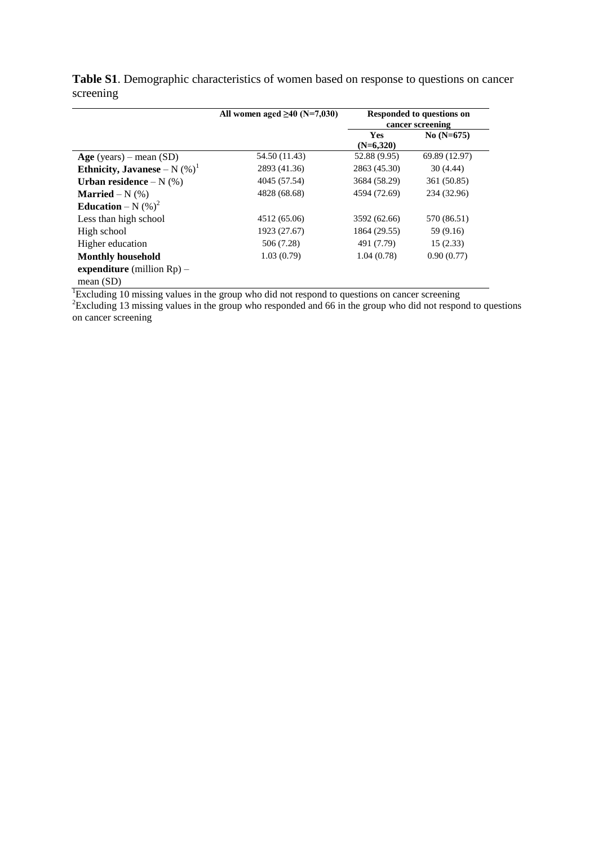|                                  | All women aged $\geq 40$ (N=7,030) | Responded to questions on<br>cancer screening |               |
|----------------------------------|------------------------------------|-----------------------------------------------|---------------|
|                                  |                                    | Yes<br>$(N=6,320)$                            | $No (N=675)$  |
| $Age$ (years) – mean (SD)        | 54.50 (11.43)                      | 52.88 (9.95)                                  | 69.89 (12.97) |
| Ethnicity, Javanese – N $(\%)^1$ | 2893 (41.36)                       | 2863 (45.30)                                  | 30(4.44)      |
| Urban residence $-N$ (%)         | 4045 (57.54)                       | 3684 (58.29)                                  | 361 (50.85)   |
| <b>Married</b> – N $(\%)$        | 4828 (68.68)                       | 4594 (72.69)                                  | 234 (32.96)   |
| Education – N $(\%)^2$           |                                    |                                               |               |
| Less than high school            | 4512 (65.06)                       | 3592 (62.66)                                  | 570 (86.51)   |
| High school                      | 1923 (27.67)                       | 1864 (29.55)                                  | 59 (9.16)     |
| Higher education                 | 506 (7.28)                         | 491 (7.79)                                    | 15(2.33)      |
| <b>Monthly household</b>         | 1.03(0.79)                         | 1.04(0.78)                                    | 0.90(0.77)    |
| expenditure (million $Rp$ ) –    |                                    |                                               |               |
| mean $(SD)$                      |                                    |                                               |               |

**Table S1**. Demographic characteristics of women based on response to questions on cancer screening

 ${}^{1}$ Excluding 10 missing values in the group who did not respond to questions on cancer screening

 $2$ Excluding 13 missing values in the group who responded and 66 in the group who did not respond to questions on cancer screening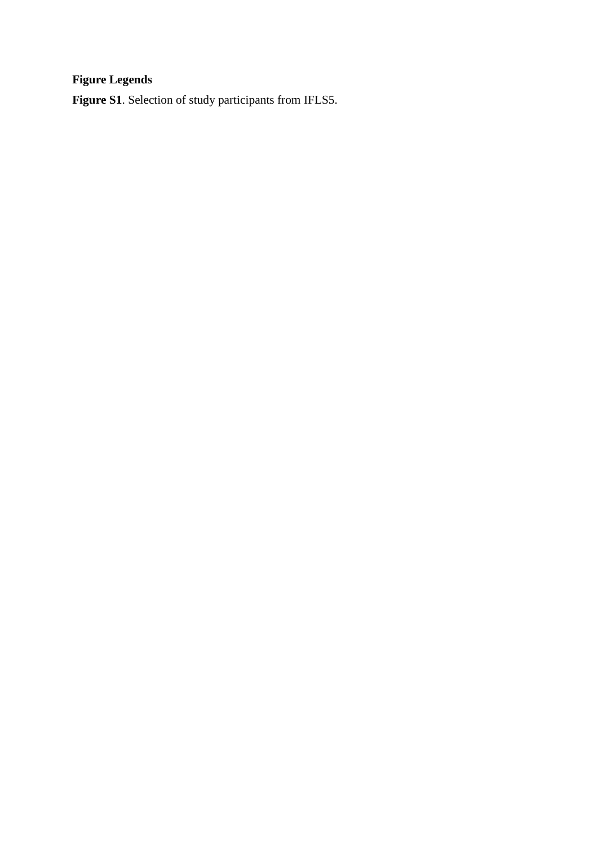## **Figure Legends**

**Figure S1**. Selection of study participants from IFLS5.